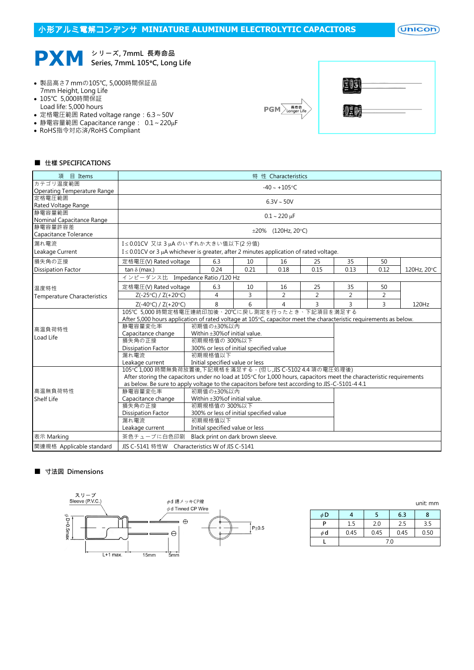## 小形アルミ電解コンデンサ **MINIATURE ALUMINUM ELECTROLYTIC CAPACITORS**

 $($ Unicon $)$ 



# Series, 7mmL 105°C, Long Life

- 製品高さ7 mmの105℃, 5,000時間保証品 7mm Height, Long Life
- 105℃ 5,000時間保証
- Load life: 5,000 hours
- 定格電圧範囲 Rated voltage range: 6.3~50V
- 静電容量範囲 Capacitance range: 0.1~220µF
- RoHS指令対応済/RoHS Compliant



| $\frac{1}{2}$<br>g). |  |
|----------------------|--|
| <b>JEDE</b>          |  |

#### ■ 仕樣 SPECIFICATIONS

| 項 目 Items                                                                                      | 特 性 Characteristics                                                                                                 |                                                           |                                         |      |                          |                |                |      |             |  |  |
|------------------------------------------------------------------------------------------------|---------------------------------------------------------------------------------------------------------------------|-----------------------------------------------------------|-----------------------------------------|------|--------------------------|----------------|----------------|------|-------------|--|--|
| カテゴリ温度範囲                                                                                       | $-40 \sim +105$ °C                                                                                                  |                                                           |                                         |      |                          |                |                |      |             |  |  |
| Operating Temperature Range                                                                    |                                                                                                                     |                                                           |                                         |      |                          |                |                |      |             |  |  |
| 定格雷圧範囲                                                                                         | $6.3V \sim 50V$                                                                                                     |                                                           |                                         |      |                          |                |                |      |             |  |  |
| Rated Voltage Range                                                                            |                                                                                                                     |                                                           |                                         |      |                          |                |                |      |             |  |  |
| 静電容量範囲<br>Nominal Capacitance Range                                                            | $0.1 - 220 \mu F$                                                                                                   |                                                           |                                         |      |                          |                |                |      |             |  |  |
| 静電容量許容差                                                                                        |                                                                                                                     |                                                           |                                         |      | $\pm 20\%$ (120Hz, 20°C) |                |                |      |             |  |  |
| Capacitance Tolerance                                                                          |                                                                                                                     |                                                           |                                         |      |                          |                |                |      |             |  |  |
| 漏れ電流                                                                                           |                                                                                                                     | I≤0.01CV 又は3µAのいずれか大きい値以下(2分値)                            |                                         |      |                          |                |                |      |             |  |  |
| Leakage Current                                                                                | $I \leq 0.01$ CV or 3 µA whichever is greater, after 2 minutes application of rated voltage.                        |                                                           |                                         |      |                          |                |                |      |             |  |  |
| 損失角の正接                                                                                         | 定格電圧(V) Rated voltage                                                                                               |                                                           | 6.3                                     | 10   | 16                       | 25             | 35             | 50   |             |  |  |
| <b>Dissipation Factor</b>                                                                      | tan $\delta$ (max.)                                                                                                 |                                                           | 0.24                                    | 0.21 | 0.18                     | 0.15           | 0.13           | 0.12 | 120Hz, 20°C |  |  |
|                                                                                                | インピーダンス比 Impedance Ratio /120 Hz                                                                                    |                                                           |                                         |      |                          |                |                |      |             |  |  |
| 温度特性                                                                                           | 定格電圧(V) Rated voltage                                                                                               |                                                           | 6.3                                     | 10   | 16                       | 25             | 35             | 50   |             |  |  |
| <b>Temperature Characteristics</b>                                                             | $Z(-25°C) / Z(+20°C)$                                                                                               |                                                           | 4                                       | 3    | $\overline{2}$           | $\overline{2}$ | $\overline{2}$ | 2    |             |  |  |
|                                                                                                | $Z(-40°C) / Z(+20°C)$                                                                                               |                                                           | 8                                       | 6    | 4                        | 3              | 3              | 3    | 120Hz       |  |  |
|                                                                                                | 105℃ 5,000 時間定格電圧連続印加後、20℃に戻し測定を行ったとき、下記項目を満足する                                                                     |                                                           |                                         |      |                          |                |                |      |             |  |  |
|                                                                                                | After 5,000 hours application of rated voltage at 105°C, capacitor meet the characteristic requirements as below.   |                                                           |                                         |      |                          |                |                |      |             |  |  |
| 高温負荷特性                                                                                         | 静雷容量変化率                                                                                                             |                                                           | 初期値の+30%以内                              |      |                          |                |                |      |             |  |  |
| Load Life                                                                                      |                                                                                                                     | Within $\pm 30\%$ of initial value.<br>Capacitance change |                                         |      |                          |                |                |      |             |  |  |
|                                                                                                | 損失角の正接                                                                                                              |                                                           | 初期規格値の 300%以下                           |      |                          |                |                |      |             |  |  |
|                                                                                                | <b>Dissipation Factor</b>                                                                                           |                                                           | 300% or less of initial specified value |      |                          |                |                |      |             |  |  |
|                                                                                                | 漏れ電流                                                                                                                | 初期規格值以下                                                   |                                         |      |                          |                |                |      |             |  |  |
|                                                                                                | Leakage current                                                                                                     |                                                           | Initial specified value or less         |      |                          |                |                |      |             |  |  |
|                                                                                                | 105°C 1,000 時間無負荷放置後,下記規格を滿足する。(但し,JIS C-5102 4.4 項の電圧処理後)                                                          |                                                           |                                         |      |                          |                |                |      |             |  |  |
|                                                                                                | After storing the capacitors under no load at 105℃ for 1,000 hours, capacitors meet the characteristic requirements |                                                           |                                         |      |                          |                |                |      |             |  |  |
| as below. Be sure to apply voltage to the capacitors before test according to JIS-C-5101-4 4.1 |                                                                                                                     |                                                           |                                         |      |                          |                |                |      |             |  |  |
| 高温無負荷特性                                                                                        | 静雷容量変化率<br>初期值の±30%以内                                                                                               |                                                           |                                         |      |                          |                |                |      |             |  |  |
| <b>Shelf Life</b>                                                                              | Within ±30% of initial value.<br>Capacitance change                                                                 |                                                           |                                         |      |                          |                |                |      |             |  |  |
|                                                                                                | 損失角の正接                                                                                                              | 初期規格值の 300%以下                                             |                                         |      |                          |                |                |      |             |  |  |
|                                                                                                | 300% or less of initial specified value<br><b>Dissipation Factor</b>                                                |                                                           |                                         |      |                          |                |                |      |             |  |  |
|                                                                                                | 初期規格值以下<br>漏れ電流                                                                                                     |                                                           |                                         |      |                          |                |                |      |             |  |  |
|                                                                                                | Leakage current                                                                                                     | Initial specified value or less                           |                                         |      |                          |                |                |      |             |  |  |
| 表示 Marking                                                                                     | 茶色チューブに白色印刷                                                                                                         |                                                           | Black print on dark brown sleeve.       |      |                          |                |                |      |             |  |  |
| 関連規格 Applicable standard                                                                       | JIS C-5141 特性W Characteristics W of JIS C-5141                                                                      |                                                           |                                         |      |                          |                |                |      |             |  |  |

#### ■ 寸法図 Dimensions



|    |      |      |      | <u>unit. min</u> |  |  |  |
|----|------|------|------|------------------|--|--|--|
| φD |      |      | 6.3  | 8                |  |  |  |
| P  | 1.5  | 2.0  | 2.5  | 3.5              |  |  |  |
| φd | 0.45 | 0.45 | 0.45 | 0.50             |  |  |  |
|    | 7.0  |      |      |                  |  |  |  |